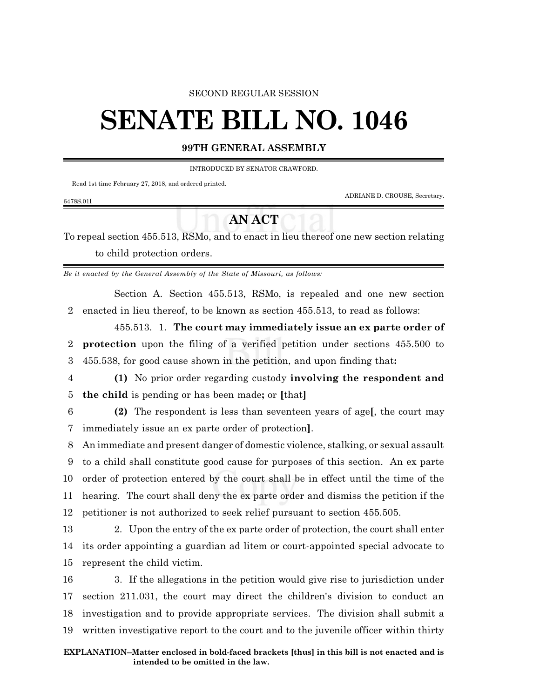#### SECOND REGULAR SESSION

# **SENATE BILL NO. 1046**

### **99TH GENERAL ASSEMBLY**

INTRODUCED BY SENATOR CRAWFORD.

Read 1st time February 27, 2018, and ordered printed.

ADRIANE D. CROUSE, Secretary.

#### 6478S.01I

## **AN ACT**

To repeal section 455.513, RSMo, and to enact in lieu thereof one new section relating to child protection orders.

*Be it enacted by the General Assembly of the State of Missouri, as follows:*

Section A. Section 455.513, RSMo, is repealed and one new section 2 enacted in lieu thereof, to be known as section 455.513, to read as follows:

455.513. 1. **The court may immediately issue an ex parte order of** 2 **protection** upon the filing of a verified petition under sections 455.500 to 3 455.538, for good cause shown in the petition, and upon finding that**:**

- 4 **(1)** No prior order regarding custody **involving the respondent and** 5 **the child** is pending or has been made**;** or **[**that**]**
- 6 **(2)** The respondent is less than seventeen years of age**[**, the court may 7 immediately issue an ex parte order of protection**]**.

 An immediate and present danger of domestic violence, stalking, or sexual assault to a child shall constitute good cause for purposes of this section. An ex parte order of protection entered by the court shall be in effect until the time of the hearing. The court shall deny the ex parte order and dismiss the petition if the petitioner is not authorized to seek relief pursuant to section 455.505.

13 2. Upon the entry of the ex parte order of protection, the court shall enter 14 its order appointing a guardian ad litem or court-appointed special advocate to 15 represent the child victim.

 3. If the allegations in the petition would give rise to jurisdiction under section 211.031, the court may direct the children's division to conduct an investigation and to provide appropriate services. The division shall submit a written investigative report to the court and to the juvenile officer within thirty